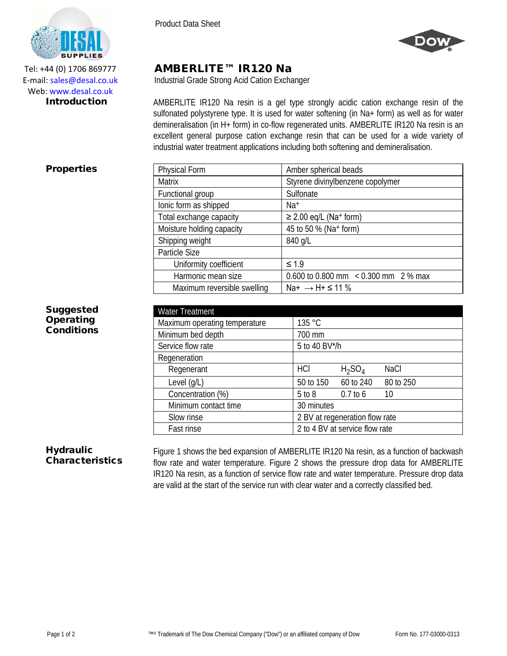



Tel: +44 (0) 1706 869777 E‐mail: sales@desal.co.uk Web: www.desal.co.uk

# AMBERLITE™ IR120 Na

Industrial Grade Strong Acid Cation Exchanger

**Introduction** AMBERLITE IR120 Na resin is a gel type strongly acidic cation exchange resin of the sulfonated polystyrene type. It is used for water softening (in Na+ form) as well as for water demineralisation (in H+ form) in co-flow regenerated units. AMBERLITE IR120 Na resin is an excellent general purpose cation exchange resin that can be used for a wide variety of industrial water treatment applications including both softening and demineralisation.

## **Properties**

| Physical Form               | Amber spherical beads                     |  |  |
|-----------------------------|-------------------------------------------|--|--|
| <b>Matrix</b>               | Styrene divinylbenzene copolymer          |  |  |
| Functional group            | Sulfonate                                 |  |  |
| lonic form as shipped       | Na <sup>+</sup>                           |  |  |
| Total exchange capacity     | $\geq$ 2.00 eq/L (Na <sup>+</sup> form)   |  |  |
| Moisture holding capacity   | 45 to 50 % (Na+ form)                     |  |  |
| Shipping weight             | 840 g/L                                   |  |  |
| Particle Size               |                                           |  |  |
| Uniformity coefficient      | $\leq 1.9$                                |  |  |
| Harmonic mean size          | 0.600 to 0.800 mm $\leq$ 0.300 mm 2 % max |  |  |
| Maximum reversible swelling | Na+ $\rightarrow$ H+ $\leq$ 11 %          |  |  |

## **Suggested Operating** Conditions

| <b>Water Treatment</b>        |                                |            |             |  |
|-------------------------------|--------------------------------|------------|-------------|--|
| Maximum operating temperature | 135 °C                         |            |             |  |
| Minimum bed depth             | 700 mm                         |            |             |  |
| Service flow rate             | 5 to 40 BV*/h                  |            |             |  |
| Regeneration                  |                                |            |             |  |
| Regenerant                    | HCI                            | $H_2SO_4$  | <b>NaCl</b> |  |
| Level $(g/L)$                 | 50 to 150                      | 60 to 240  | 80 to 250   |  |
| Concentration (%)             | $5$ to $8$                     | $0.7$ to 6 | 10          |  |
| Minimum contact time          | 30 minutes                     |            |             |  |
| Slow rinse                    | 2 BV at regeneration flow rate |            |             |  |
| Fast rinse                    | 2 to 4 BV at service flow rate |            |             |  |

#### **Hydraulic** Characteristics

Figure 1 shows the bed expansion of AMBERLITE IR120 Na resin, as a function of backwash flow rate and water temperature. Figure 2 shows the pressure drop data for AMBERLITE IR120 Na resin, as a function of service flow rate and water temperature. Pressure drop data are valid at the start of the service run with clear water and a correctly classified bed.